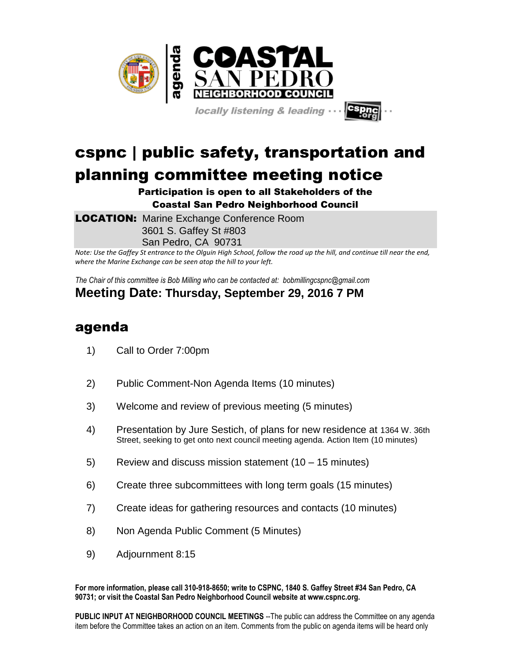

locally listening & leading .

## cspnc | public safety, transportation and planning committee meeting notice

## Participation is open to all Stakeholders of the Coastal San Pedro Neighborhood Council

**LOCATION:** Marine Exchange Conference Room 3601 S. Gaffey St #803 San Pedro, CA 90731

*Note: Use the Gaffey St entrance to the Olguin High School, follow the road up the hill, and continue till near the end, where the Marine Exchange can be seen atop the hill to your left.*

*The Chair of this committee is Bob Milling who can be contacted at: bobmillingcspnc@gmail.com*

## **Meeting Date: Thursday, September 29, 2016 7 PM**

## agenda

- 1) Call to Order 7:00pm
- 2) Public Comment-Non Agenda Items (10 minutes)
- 3) Welcome and review of previous meeting (5 minutes)
- 4) Presentation by Jure Sestich, of plans for new residence at 1364 W. 36th Street, seeking to get onto next council meeting agenda. Action Item (10 minutes)
- 5) Review and discuss mission statement (10 15 minutes)
- 6) Create three subcommittees with long term goals (15 minutes)
- 7) Create ideas for gathering resources and contacts (10 minutes)
- 8) Non Agenda Public Comment (5 Minutes)
- 9) Adjournment 8:15

**For more information, please call 310-918-8650; write to CSPNC, 1840 S. Gaffey Street #34 San Pedro, CA 90731; or visit the Coastal San Pedro Neighborhood Council website at www.cspnc.org.** 

**PUBLIC INPUT AT NEIGHBORHOOD COUNCIL MEETINGS** --The public can address the Committee on any agenda item before the Committee takes an action on an item. Comments from the public on agenda items will be heard only